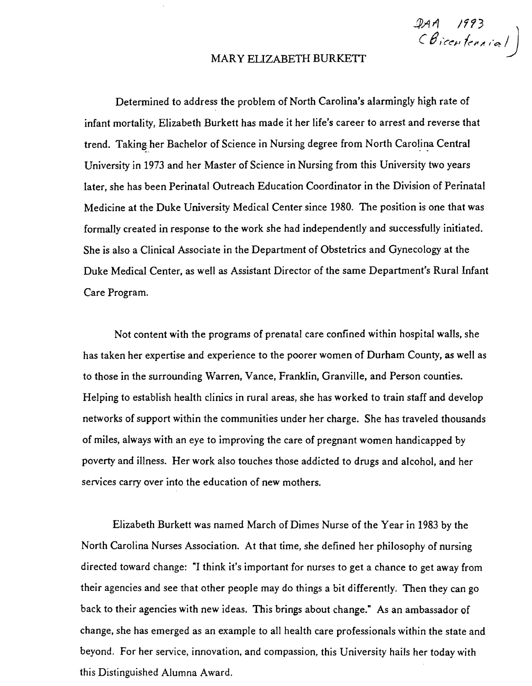# MARY EUZABETH BURKETT

 $QAA$  1993<br>CBicentennial)

Determined to address the problem of North Carolina's alarmingly high rate of infant mortality, Elizabeth Burkett has made it her life's career to arrest and reverse that trend. Taking her Bachelor of Science in Nursing degree from North Carolina Central University in 1973 and her Master of Science in Nursing from this University two years later, she has been Perinatal Outreach Education Coordinator in the Division of Perinatal Medicine at the Duke University Medical Center since 1980. The position is one that was formally created in response to the work she had independently and successfully initiated. She is also a Clinical Associate in the Department of Obstetrics and Gynecology at the Duke Medical Center, as well as Assistant Director of the same Department's Rural Infant Care Program.

Not content with the programs of prenatal care confined within hospital walls, she has taken her expertise and experience to the poorer women of Durham County, as well as to those in the surrounding Warren, Vance, Franklin, Granville, and Person counties. Helping to establish health clinics in rural areas, she has worked to train staff and develop networks of support within the communities under her charge. She has traveled thousands of miles, always with an eye to improving the care of pregnant women handicapped by poverty and illness. Her work also touches those addicted to drugs and alcohol, and her services carry over into the education of new mothers.

Elizabeth Burkett was named March of Dimes Nurse of the Year in 1983 by the North Carolina Nurses Association. At that time, she defined her philosophy of nursing directed toward change: "I think it's important for nurses to get a chance to get away from their agencies and see that other people may do things a bit differently. Then they can go back to their agencies with new ideas. This brings about change." As an ambassador of change. she has emerged as an example to all health care professionals within the state and beyond. For her service, innovation, and compassion, this University hails her today with this Distinguished Alumna Award.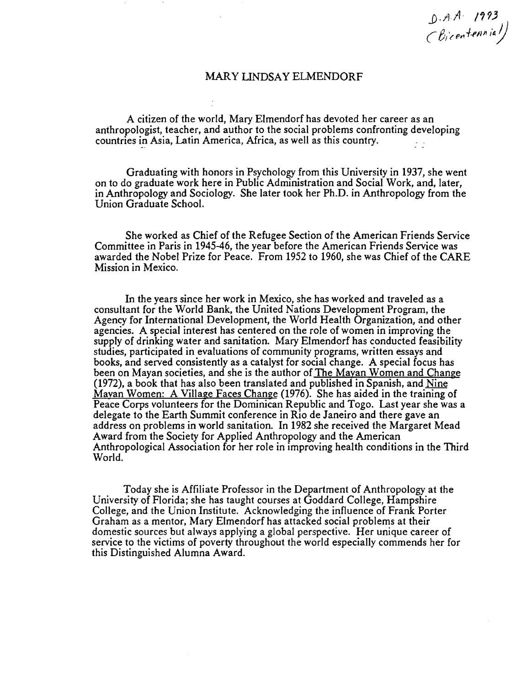..D. *A,i1' /193*   $\left($   $\beta$ *icentennia* $\left/$ 

#### MARY UNDSAY ELMENDORF

A citizen of the world, Mary Elmendorf has devoted her career as an anthropologist, teacher, and author to the social problems confronting developing countries in Asia, Latin America, Africa, as well as this country.

Graduating with honors in Psychology from this University in 1937, she went on to do graduate work here in Public Administration and Social Work, and, later, in Anthropology and Sociology. She later took her Ph.D. in Anthropology from the Union Graduate School.

She worked as Chief of the Refugee Section of the American Friends Service Committee in Paris in 1945-46, the year before the American Friends Service was awarded the Nobel Prize for Peace. From 1952 to 1960, she was Chief of the CARE Mission in Mexico.

In the years since her work in Mexico, she has worked and traveled as a consultant for the World Bank, the United Nations Development Program, the Agency for International Development, the World Health Organization, and other agencies. A special interest has centered on the role of women in improving the supply of drinking water and sanitation. Mary Elmendorf has conducted feasibility studies, participated in evaluations of community programs, written essays and books, and served consistently as a catalyst for social change. A special focus has been on Mayan societies, and she is the author of The Mayan Women and Change (1972), a book that has also been translated and published in Spanish, and Nine Mayan Women: A Village Faces Change (1976). She has aided in the training of Peace Corps volunteers for the Dominican Republic and Togo. Last year she was a delegate to the Earth Summit conference in Rio de Janeiro and there gave an address on problems in world sanitation. In 1982 she received the Margaret Mead Award from the Society for Applied Anthropology and the American Anthropological Association for her role in improving health conditions in the Third World.

Today she is Affiliate Professor in the Department of Anthropology at the University of Florida; she has taught courses at Goddard College, Hampshire College, and the Union Institute. Acknowledging the influence of Frank Porter Graham as a mentor, Mary Elmendorf has attacked social problems at their domestic sources but always applying a global perspective. Her unique career of service to the victims of poverty throughout the world especially commends her for this Distinguished Alumna Award.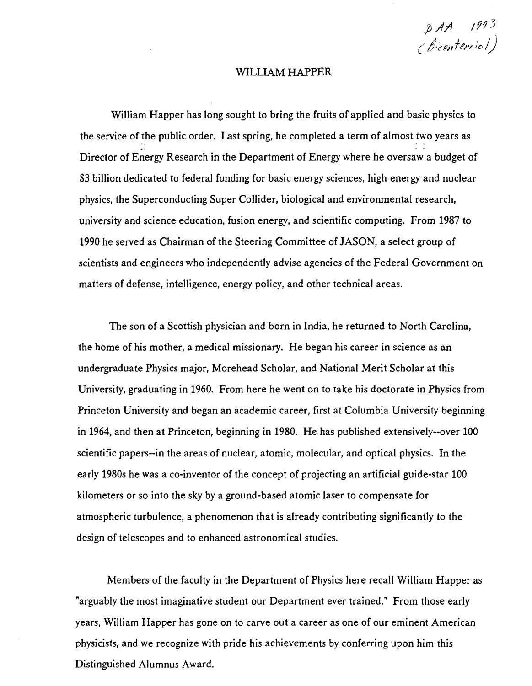p AA 1993<br>(Bicentennial)

# WILLIAM HAPPER

William Happer has long sought to bring the fruits of applied and basic physics to the service of the public order. Last spring, he completed a term of almost two years as Director of Energy Research in the Department of Energy where he oversaw a budget of \$3 billion dedicated to federal funding for basic energy sciences, high energy and nuclear physics, the Superconducting Super Collider, biological and environmental research, university and science education, fusion energy, and scientific computing. From 1987 to 1990 he served as Chairman of the Steering Committee of JASON, a select group of scientists and engineers who independently advise agencies of the Federal Government on matters of defense, intelligence, energy policy, and other technical areas.

The son of a Scottish physician and born in India, he returned to North Carolina, the home of his mother, a medical missionary. He began his career in science as an undergraduate Physics major, Morehead Scholar, and National Merit Scholar at this University, graduating in 1960. From here he went on to take his doctorate in Physics from Princeton University and began an academic career, first at Columbia University beginning in 1964, and then at Princeton, beginning in 1980. He has published extensively--over 100 scientific papers--in the areas of nuclear, atomic, molecular, and optical physics. In the early 1980s he was a co-inventor of the concept of projecting an artificial guide-star 100 kilometers or so into the sky by a ground-based atomic laser to compensate for atmospheric turbulence, a phenomenon that is already contributing significantly to the design of telescopes and to enhanced astronomical studies.

Members of the faculty in the Department of Physics here recall William Happer as "arguably the most imaginative student our Department ever trained." From those early years, William Happer has gone on to carve out a career as one of our eminent American physicists, and we recognize with pride his achievements by conferring upon him this Distinguished Alumnus Award.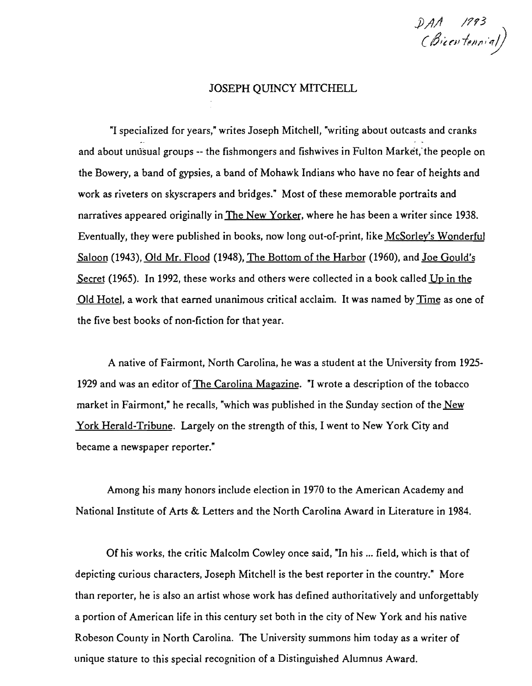DAA 1993<br>(Bicentennial)

#### JOSEPH QUINCY MITCHELL

"I specialized for years," writes Joseph Mitchell, "writing about outcasts and cranks and about unusual groups -- the fishmongers and fishwives in Fulton Market, the people on the Bowery, a band of gypsies, a band of Mohawk Indians who have no fear of heights and work as riveters on skyscrapers and bridges." Most of these memorable portraits and narratives appeared originally in The New Yorker, where he has been a writer since 1938. Eventually, they were published in books, now long out-of-print, like McSorley's Wonderful Saloon (1943), Old Mr. Flood (1948), The Bottom of the Harbor (1960), and Joe Gould's Secret (1965). In 1992, these works and others were collected in a book called Up in the Old Hotel, a work that earned unanimous critical acclaim. It was named by Time as one of the five best books of non-fiction for that year.

A native of Fairmont, North Carolina, he was a student at the University from 1925 1929 and was an editor of The Carolina Magazine. "I wrote a description of the tobacco market in Fairmont," he recalls, "which was published in the Sunday section of the  $New$ York Herald-Tribune. Largely on the strength of this, I went to New York City and became a newspaper reporter."

Among his many honors include election in 1970 to the American Academy and National Institute of Arts & Letters and the North Carolina Award in Literature in 1984.

Of his works, the critic Malcolm Cowley once said, "In his ... field, which is that of depicting curious characters, Joseph Mitchell is the best reporter in the country." More than reporter, he is also an artist whose work has defined authoritatively and unforgettably a portion of American life in this century set both in the city of New York and his native Robeson County in North Carolina. The University summons him today as a writer of unique stature to this special recognition of a Distinguished Alumnus Award.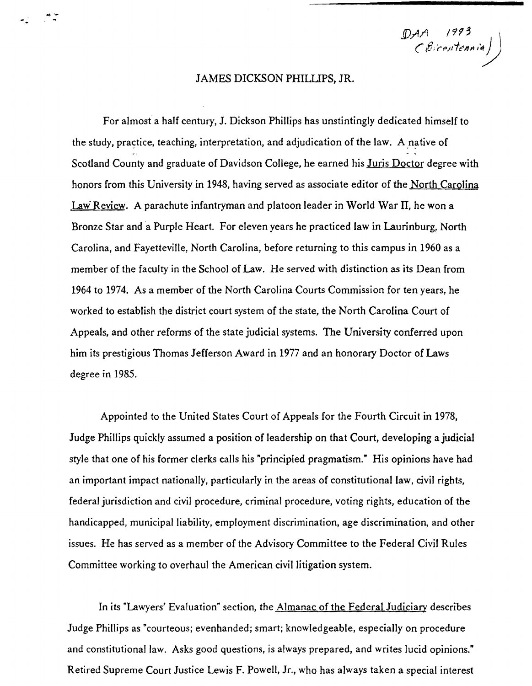$DAA$  1993<br>  $CBicentenna)$ 

# JAMES DICKSON PHILLIPS, JR.

 $\ddot{\phantom{a}}$ .

For almost a half century, J. Dickson Phillips has unstintingly dedicated himself to the study, practice, teaching, interpretation, and adjudication of the law. A native of Scotland County and graduate of Davidson College, he earned his Juris Doctor degree with honors from this University in 1948, having served as associate editor of the North Carolina Law Review. A parachute infantryman and platoon leader in World War II, he won a Bronze Star and a Purple Heart. For eleven years he practiced law in Laurinburg, North Carolina, and Fayetteville, North Carolina, before returning to this campus in 1960 as a member of the faculty in the School of Law. He served with distinction as its Dean from 1964 to 1974. As a member of the North Carolina Courts Commission for ten years, he worked to establish the district court system of the state, the North Carolina Court of Appeals, and other reforms of the state judicial systems. The University conferred upon him its prestigious Thomas Jefferson Award in 1977 and an honorary Doctor of Laws degree in 1985.

Appointed to the United States Court of Appeals for the Fourth Circuit in 1978, Judge Phillips quickly assumed a position of leadership on that Court, developing a judicial style that one of his former clerks calls his "principled pragmatism." His opinions have had an important impact nationally, particularly in the areas of constitutional law, civil rights, federal jurisdiction and civil procedure, criminal procedure, voting rights, education of the handicapped, municipal liability, employment discrimination, age discrimination, and other issues. He has served as a member of the Advisory Committee to the Federal Civil Rules Committee working to overhaul the American civil litigation system.

In its "Lawyers' Evaluation" section, the Almanac of the Federal Judiciary describes Judge Phillips as "courteous; evenhanded; smart; knowledgeable, especially on procedure and constitutional law. Asks good questions, is always prepared, and writes lucid opinions." Retired Supreme Court Justice Lewis F. Powell, Jr., who has always taken a special interest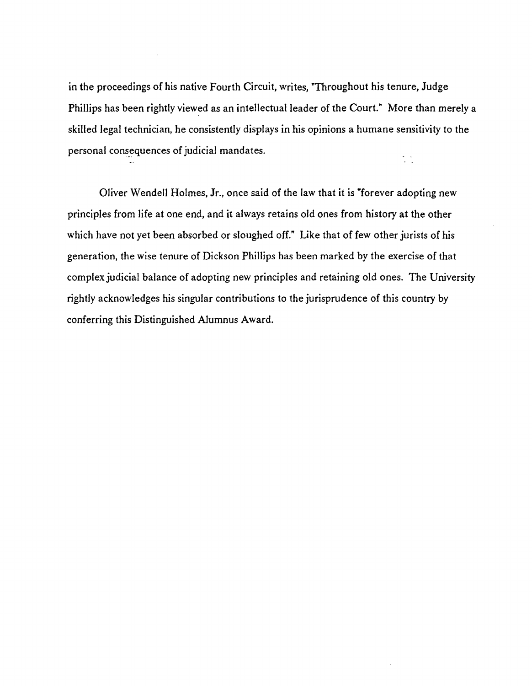in the proceedings of his native Fourth Circuit, writes, "Throughout his tenure, Judge Phillips has been rightly viewed as an intellectual leader of the Court." More than merely a skilled legal technician, he consistently displays in his opinions a humane sensitivity to the personal consequences of judicial mandates.  $\frac{1}{2}$  ,  $\frac{1}{2}$ 

Oliver Wendell Holmes, Jr., once said of the law that it is "forever adopting new principles from life at one end, and it always retains old ones from history at the other which have not yet been absorbed or sloughed off." Like that of few other jurists of his generation, the wise tenure of Dickson Phillips has been marked by the exercise of that complex judicial balance of adopting new principles and retaining old ones. The University rightly acknowledges his singular contributions to the jurisprudence of this country by conferring this Distinguished Alumnus Award.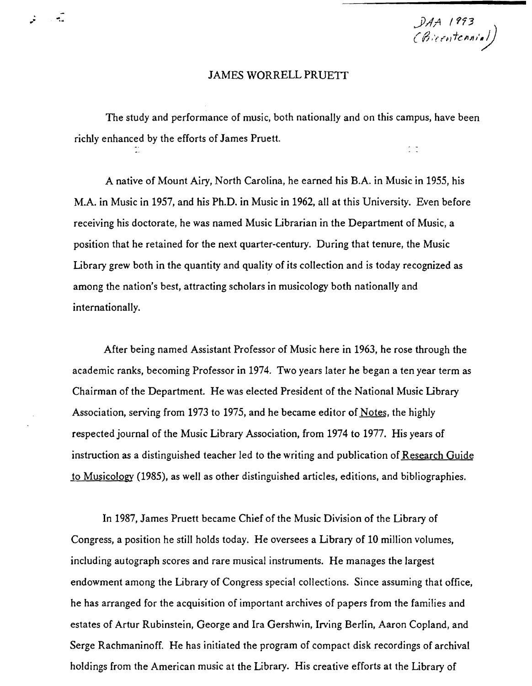DAA 1993<br>(Bicentennial)

### JAMES WORRELL PRUETT

...,

٠.

The study and performance of music, both nationally and on this campus, have been richly enhanced by the efforts of James Pruett.  $\frac{1}{2}$  ,  $\frac{1}{2}$ 

A native of Mount Airy, North Carolina, he earned his B.A. in Music in 1955, his M.A. in Music in 1957, and his Ph.D. in Music in 1962, all at this University. Even before receiving his doctorate, he was named Music Librarian in the Department of Music, a position that he retained for the next quarter-century. During that tenure, the Music Library grew both in the quantity and quality of its collection and is today recognized as among the nation's best, attracting scholars in musicology both nationally and internationally.

After being named Assistant Professor of Music here in 1963, he rose through the academic ranks, becoming Professor in 1974. Two years later he began a ten year term as Chairman of the Department. He was elected President of the National Music Ubrary Association, serving from 1973 to 1975, and he became editor of <u>Notes</u>, the highly respected journal of the Music Library Association, from 1974 to 1977. His years of instruction as a distinguished teacher led to the writing and publication of Research Guide to Musicology (1985), as well as other distinguished articles, editions, and bibliographies.

In 1987, James Pruett became Chief of the Music Division of the Library of Congress, a position he still holds today. He oversees a Library of 10 million volumes, including autograph scores and rare musical instruments. He manages the largest endowment among the Library of Congress special collections. Since assuming that office, he has arranged for the acquisition of important archives of papers from the families and estates of Artur Rubinstein, George and Ira Gershwin, Irving Berlin, Aaron Copland, and Serge Rachmaninoff. He has initiated the program of compact disk recordings of archival holdings from the American music at the Library. His creative efforts at the Library of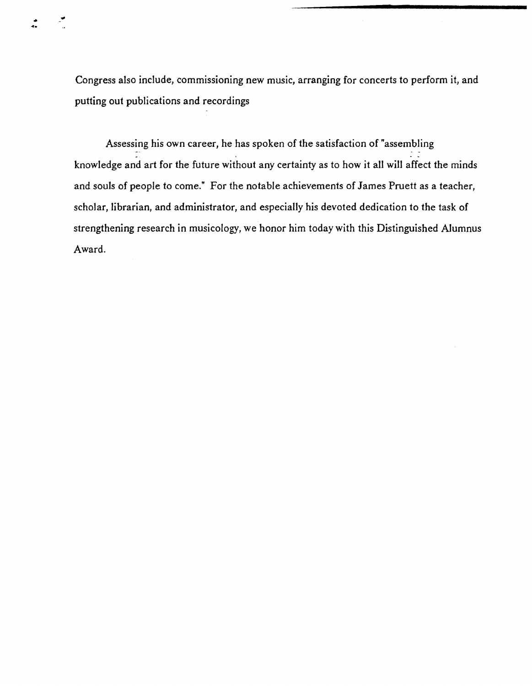Congress also include, commissioning new music, arranging for concerts to perform it, and putting out publications and recordings

Assessing his own career, he has spoken of the satisfaction of "assembling . knowledge and art for the future without any certainty as to how it all will affect the minds and souls of people to come." For the notable achievements of James Pruett as a teacher, scholar, librarian, and administrator, and especially his devoted dedication to the task of strengthening research in musicology, we honor him today with this Distinguished Alumnus Award.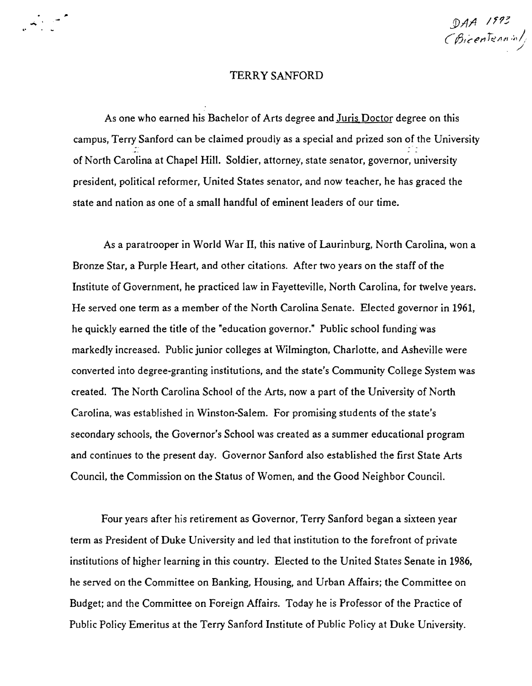$\mathcal{D}AA$  1993 (Bicentennio)

### TERRY SANFORD

As one who earned his Bachelor of Arts degree and Juris Doctor degree on this campus, Terry Sanford can be claimed proudly as a special and prized son of the University of North Carolina at Chapel Hill. Soldier, attorney, state senator, governor, university president, political reformer, United States senator, and now teacher, he has graced the state and nation as one of a small handful of eminent leaders of our time.

As a paratrooper in World War II, this native of Laurinburg, North Carolina, won a Bronze Star, a Purple Heart, and other citations. After two years on the staff of the Institute of Government, he practiced law in Fayetteville, North Carolina, for twelve years. He served one term as a member of the North Carolina Senate. Elected governor in 1961, he quickly earned the title of the "education governor." Public school funding was markedly increased. Public junior colleges at Wilmington, Charlotte, and Asheville were converted into degree-granting institutions, and the state's Community College System was created. The North Carolina School of the Arts, now a part of the University of North Carolina, was established in Winston-Salem. For promising students of the state's secondary schools, the Governor's School was created as a summer educational program and continues to the present day. Governor Sanford also established the first State Arts Council, the Commission on the Status of Women, and the Good Neighbor Council.

Four years after his retirement as Governor, Terry Sanford began a sixteen year term as President of Duke University and led that institution to the forefront of private institutions of higher learning in this country. Elected to the United States Senate in 1986, he served on the Committee on Banking, Housing, and Urban Affairs; the Committee on Budget; and the Committee on Foreign Affairs. Today he is Professor of the Practice of Public Policy Emeritus at the Terry Sanford Institute of Public Policy at Duke University.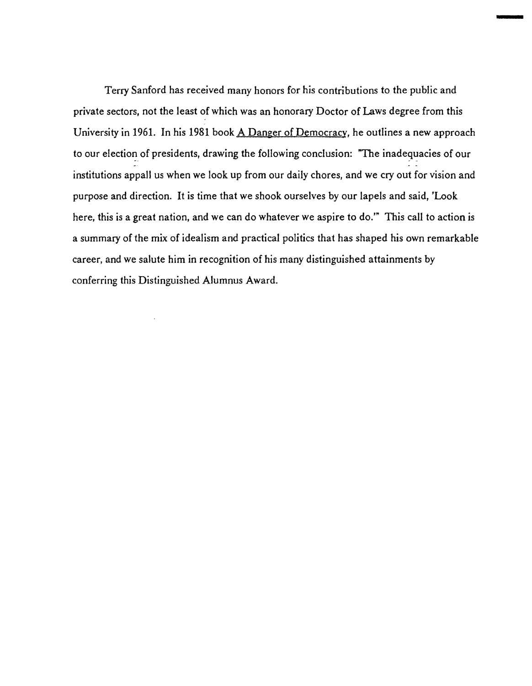Terry Sanford has received many honors for his contributions to the public and private sectors, not the least of which was an honorary Doctor of Laws degree from this University in 1961. In his 1981 book A Danger of Democracy, he outlines a new approach to our election of presidents, drawing the following conclusion: "The inadequacies of our institutions appall us when we look up from our daily chores, and we cry out for vision and purpose and direction. It is time that we shook ourselves by our lapels and said, 'Look here, this is a great nation, and we can do whatever we aspire to do.'" This call to action is a summary of the mix of idealism and practical politics that has shaped his own remarkable career, and we salute him in recognition of his many distinguished attainments by conferring this Distinguished Alumnus Award.